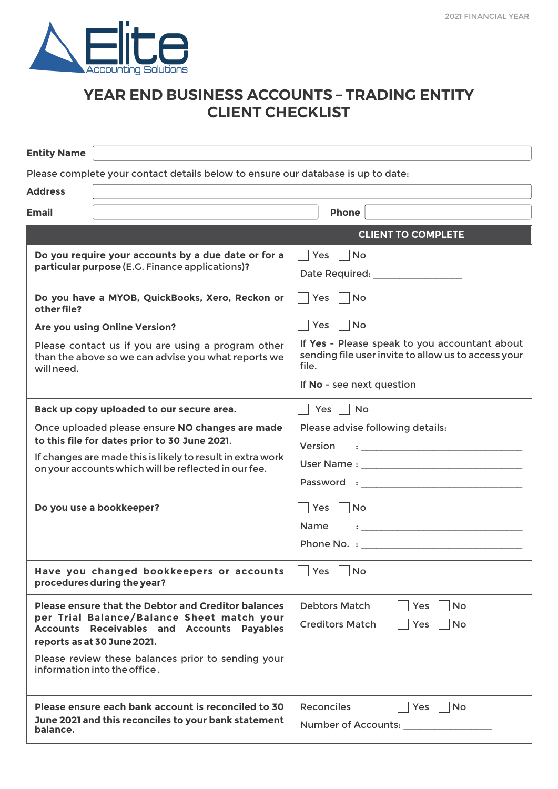

## **YEAR END BUSINESS ACCOUNTS – TRADING ENTITY CLIENT CHECKLIST**

| <b>Entity Name</b>                                                                                                                                                                                                                                                   |                                                                                                                                                                                                                                                                                   |
|----------------------------------------------------------------------------------------------------------------------------------------------------------------------------------------------------------------------------------------------------------------------|-----------------------------------------------------------------------------------------------------------------------------------------------------------------------------------------------------------------------------------------------------------------------------------|
| Please complete your contact details below to ensure our database is up to date:                                                                                                                                                                                     |                                                                                                                                                                                                                                                                                   |
| <b>Address</b>                                                                                                                                                                                                                                                       |                                                                                                                                                                                                                                                                                   |
| <b>Email</b>                                                                                                                                                                                                                                                         | Phone                                                                                                                                                                                                                                                                             |
|                                                                                                                                                                                                                                                                      | <b>CLIENT TO COMPLETE</b>                                                                                                                                                                                                                                                         |
| Do you require your accounts by a due date or for a<br>particular purpose (E.G. Finance applications)?                                                                                                                                                               | Yes No<br>Date Required: _________________                                                                                                                                                                                                                                        |
| Do you have a MYOB, QuickBooks, Xero, Reckon or<br>other file?                                                                                                                                                                                                       | Yes   No                                                                                                                                                                                                                                                                          |
| Are you using Online Version?                                                                                                                                                                                                                                        | Yes   No                                                                                                                                                                                                                                                                          |
| Please contact us if you are using a program other<br>than the above so we can advise you what reports we<br>will need.                                                                                                                                              | If Yes - Please speak to you accountant about<br>sending file user invite to allow us to access your<br>file.                                                                                                                                                                     |
|                                                                                                                                                                                                                                                                      | If No - see next question                                                                                                                                                                                                                                                         |
| Back up copy uploaded to our secure area.                                                                                                                                                                                                                            | Yes     No                                                                                                                                                                                                                                                                        |
| Once uploaded please ensure NO changes are made<br>to this file for dates prior to 30 June 2021.<br>If changes are made this is likely to result in extra work<br>on your accounts which will be reflected in our fee.                                               | Please advise following details:<br>Version<br>$\bullet$ . The contract of the contract of the contract of the contract of the contract of the contract of the contract of the contract of the contract of the contract of the contract of the contract of the contract of the co |
| Do you use a bookkeeper?                                                                                                                                                                                                                                             | Yes <br><b>No</b><br><b>Name</b><br>$\ddot{\phantom{a}}$ , and the contract of the contract of the contract of the contract of the contract of the contract of the contract of the contract of the contract of the contract of the contract of the contract of the contrac        |
| Have you changed bookkeepers or accounts<br>procedures during the year?                                                                                                                                                                                              | $\Box$ Yes $\Box$ No                                                                                                                                                                                                                                                              |
| Please ensure that the Debtor and Creditor balances<br>per Trial Balance/Balance Sheet match your<br>Accounts Receivables and Accounts Payables<br>reports as at 30 June 2021.<br>Please review these balances prior to sending your<br>information into the office. | <b>Debtors Match</b><br><b>No</b><br>Yes<br><b>Creditors Match</b><br>Yes<br><b>No</b>                                                                                                                                                                                            |
| Please ensure each bank account is reconciled to 30<br>June 2021 and this reconciles to your bank statement<br>balance.                                                                                                                                              | <b>Reconciles</b><br><b>No</b><br>Yes<br>Number of Accounts:                                                                                                                                                                                                                      |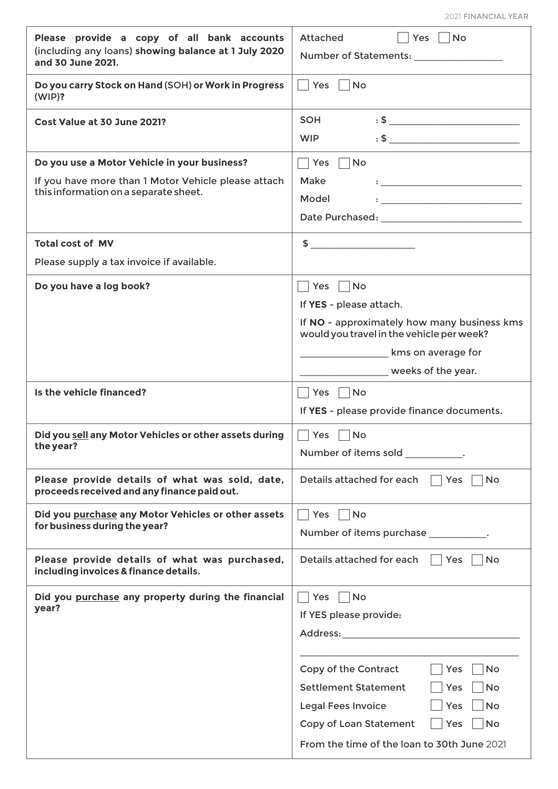| and 30 June 2021.<br>Do you carry Stock on Hand (SOH) or Work in Progress<br>Yes<br><b>No</b><br>(WIP)?<br>SOH<br>$\mathbf{S}$ . Set the set of $\mathbf{S}$ and $\mathbf{S}$ are set of $\mathbf{S}$ and $\mathbf{S}$ are set of $\mathbf{S}$ and $\mathbf{S}$ are set of $\mathbf{S}$ and $\mathbf{S}$ are set of $\mathbf{S}$ and $\mathbf{S}$ are set of $\mathbf{S}$ and $\mathbf{S}$ are set<br>Cost Value at 30 June 2021?<br>$\mathbf{S}$ . $\mathbf{S}$ . The contract of the contract of the contract of the contract of the contract of the contract of the contract of the contract of the contract of the contract of the contract of the contract of the con<br><b>WIP</b><br>Do you use a Motor Vehicle in your business?<br>$\Box$ Yes $\Box$<br><b>No</b><br>If you have more than 1 Motor Vehicle please attach<br>Make<br>$\mathbf{1}_{\text{max}}$ . The contract of the contract of the contract of the contract of the contract of the contract of the contract of the contract of the contract of the contract of the contract of the contract of the contract<br>this information on a separate sheet.<br>Model<br><b>Total cost of MV</b><br>$\sim$<br>Please supply a tax invoice if available.<br>Do you have a log book?<br> Yes   No<br>If YES - please attach.<br>If NO - approximately how many business kms<br>would you travel in the vehicle per week?<br>kms on average for<br>weeks of the year.<br>Is the vehicle financed?<br>Yes   No<br>If YES - please provide finance documents.<br>Did you sell any Motor Vehicles or other assets during<br>Yes<br>No<br>the year?<br>Number of items sold<br>Please provide details of what was sold, date,<br>Details attached for each<br>Yes<br><b>No</b><br>proceeds received and any finance paid out.<br>Did you purchase any Motor Vehicles or other assets<br>Yes<br><b>No</b><br>for business during the year?<br>Number of items purchase __________.<br>Please provide details of what was purchased,<br>Details attached for each<br>Yes<br><b>No</b><br>including invoices & finance details.<br>Did you purchase any property during the financial<br><b>No</b><br><b>Yes</b><br>year?<br>If YES please provide:<br>Address: Andreas Address: Address: Address: Address: Address: Address: Address: Address: Address: A<br>Copy of the Contract<br><b>No</b><br>Yes<br><b>Settlement Statement</b><br>Yes<br><b>No</b><br><b>No</b><br><b>Legal Fees Invoice</b><br>Yes<br><b>No</b><br>Copy of Loan Statement<br>Yes | Please provide a copy of all bank accounts<br>(including any loans) showing balance at 1 July 2020 | Attached<br>  Yes   No |
|------------------------------------------------------------------------------------------------------------------------------------------------------------------------------------------------------------------------------------------------------------------------------------------------------------------------------------------------------------------------------------------------------------------------------------------------------------------------------------------------------------------------------------------------------------------------------------------------------------------------------------------------------------------------------------------------------------------------------------------------------------------------------------------------------------------------------------------------------------------------------------------------------------------------------------------------------------------------------------------------------------------------------------------------------------------------------------------------------------------------------------------------------------------------------------------------------------------------------------------------------------------------------------------------------------------------------------------------------------------------------------------------------------------------------------------------------------------------------------------------------------------------------------------------------------------------------------------------------------------------------------------------------------------------------------------------------------------------------------------------------------------------------------------------------------------------------------------------------------------------------------------------------------------------------------------------------------------------------------------------------------------------------------------------------------------------------------------------------------------------------------------------------------------------------------------------------------------------------------------------------------------------------------------------------------------------------------------------------------------------------------------------------------------------------------------------------------------------------------------------------------------|----------------------------------------------------------------------------------------------------|------------------------|
|                                                                                                                                                                                                                                                                                                                                                                                                                                                                                                                                                                                                                                                                                                                                                                                                                                                                                                                                                                                                                                                                                                                                                                                                                                                                                                                                                                                                                                                                                                                                                                                                                                                                                                                                                                                                                                                                                                                                                                                                                                                                                                                                                                                                                                                                                                                                                                                                                                                                                                                  |                                                                                                    |                        |
|                                                                                                                                                                                                                                                                                                                                                                                                                                                                                                                                                                                                                                                                                                                                                                                                                                                                                                                                                                                                                                                                                                                                                                                                                                                                                                                                                                                                                                                                                                                                                                                                                                                                                                                                                                                                                                                                                                                                                                                                                                                                                                                                                                                                                                                                                                                                                                                                                                                                                                                  |                                                                                                    |                        |
|                                                                                                                                                                                                                                                                                                                                                                                                                                                                                                                                                                                                                                                                                                                                                                                                                                                                                                                                                                                                                                                                                                                                                                                                                                                                                                                                                                                                                                                                                                                                                                                                                                                                                                                                                                                                                                                                                                                                                                                                                                                                                                                                                                                                                                                                                                                                                                                                                                                                                                                  |                                                                                                    |                        |
|                                                                                                                                                                                                                                                                                                                                                                                                                                                                                                                                                                                                                                                                                                                                                                                                                                                                                                                                                                                                                                                                                                                                                                                                                                                                                                                                                                                                                                                                                                                                                                                                                                                                                                                                                                                                                                                                                                                                                                                                                                                                                                                                                                                                                                                                                                                                                                                                                                                                                                                  |                                                                                                    |                        |
|                                                                                                                                                                                                                                                                                                                                                                                                                                                                                                                                                                                                                                                                                                                                                                                                                                                                                                                                                                                                                                                                                                                                                                                                                                                                                                                                                                                                                                                                                                                                                                                                                                                                                                                                                                                                                                                                                                                                                                                                                                                                                                                                                                                                                                                                                                                                                                                                                                                                                                                  |                                                                                                    |                        |
|                                                                                                                                                                                                                                                                                                                                                                                                                                                                                                                                                                                                                                                                                                                                                                                                                                                                                                                                                                                                                                                                                                                                                                                                                                                                                                                                                                                                                                                                                                                                                                                                                                                                                                                                                                                                                                                                                                                                                                                                                                                                                                                                                                                                                                                                                                                                                                                                                                                                                                                  |                                                                                                    |                        |
|                                                                                                                                                                                                                                                                                                                                                                                                                                                                                                                                                                                                                                                                                                                                                                                                                                                                                                                                                                                                                                                                                                                                                                                                                                                                                                                                                                                                                                                                                                                                                                                                                                                                                                                                                                                                                                                                                                                                                                                                                                                                                                                                                                                                                                                                                                                                                                                                                                                                                                                  |                                                                                                    |                        |
|                                                                                                                                                                                                                                                                                                                                                                                                                                                                                                                                                                                                                                                                                                                                                                                                                                                                                                                                                                                                                                                                                                                                                                                                                                                                                                                                                                                                                                                                                                                                                                                                                                                                                                                                                                                                                                                                                                                                                                                                                                                                                                                                                                                                                                                                                                                                                                                                                                                                                                                  |                                                                                                    |                        |
|                                                                                                                                                                                                                                                                                                                                                                                                                                                                                                                                                                                                                                                                                                                                                                                                                                                                                                                                                                                                                                                                                                                                                                                                                                                                                                                                                                                                                                                                                                                                                                                                                                                                                                                                                                                                                                                                                                                                                                                                                                                                                                                                                                                                                                                                                                                                                                                                                                                                                                                  |                                                                                                    |                        |
|                                                                                                                                                                                                                                                                                                                                                                                                                                                                                                                                                                                                                                                                                                                                                                                                                                                                                                                                                                                                                                                                                                                                                                                                                                                                                                                                                                                                                                                                                                                                                                                                                                                                                                                                                                                                                                                                                                                                                                                                                                                                                                                                                                                                                                                                                                                                                                                                                                                                                                                  |                                                                                                    |                        |
|                                                                                                                                                                                                                                                                                                                                                                                                                                                                                                                                                                                                                                                                                                                                                                                                                                                                                                                                                                                                                                                                                                                                                                                                                                                                                                                                                                                                                                                                                                                                                                                                                                                                                                                                                                                                                                                                                                                                                                                                                                                                                                                                                                                                                                                                                                                                                                                                                                                                                                                  |                                                                                                    |                        |
|                                                                                                                                                                                                                                                                                                                                                                                                                                                                                                                                                                                                                                                                                                                                                                                                                                                                                                                                                                                                                                                                                                                                                                                                                                                                                                                                                                                                                                                                                                                                                                                                                                                                                                                                                                                                                                                                                                                                                                                                                                                                                                                                                                                                                                                                                                                                                                                                                                                                                                                  |                                                                                                    |                        |
|                                                                                                                                                                                                                                                                                                                                                                                                                                                                                                                                                                                                                                                                                                                                                                                                                                                                                                                                                                                                                                                                                                                                                                                                                                                                                                                                                                                                                                                                                                                                                                                                                                                                                                                                                                                                                                                                                                                                                                                                                                                                                                                                                                                                                                                                                                                                                                                                                                                                                                                  |                                                                                                    |                        |
|                                                                                                                                                                                                                                                                                                                                                                                                                                                                                                                                                                                                                                                                                                                                                                                                                                                                                                                                                                                                                                                                                                                                                                                                                                                                                                                                                                                                                                                                                                                                                                                                                                                                                                                                                                                                                                                                                                                                                                                                                                                                                                                                                                                                                                                                                                                                                                                                                                                                                                                  |                                                                                                    |                        |
|                                                                                                                                                                                                                                                                                                                                                                                                                                                                                                                                                                                                                                                                                                                                                                                                                                                                                                                                                                                                                                                                                                                                                                                                                                                                                                                                                                                                                                                                                                                                                                                                                                                                                                                                                                                                                                                                                                                                                                                                                                                                                                                                                                                                                                                                                                                                                                                                                                                                                                                  |                                                                                                    |                        |
|                                                                                                                                                                                                                                                                                                                                                                                                                                                                                                                                                                                                                                                                                                                                                                                                                                                                                                                                                                                                                                                                                                                                                                                                                                                                                                                                                                                                                                                                                                                                                                                                                                                                                                                                                                                                                                                                                                                                                                                                                                                                                                                                                                                                                                                                                                                                                                                                                                                                                                                  |                                                                                                    |                        |
|                                                                                                                                                                                                                                                                                                                                                                                                                                                                                                                                                                                                                                                                                                                                                                                                                                                                                                                                                                                                                                                                                                                                                                                                                                                                                                                                                                                                                                                                                                                                                                                                                                                                                                                                                                                                                                                                                                                                                                                                                                                                                                                                                                                                                                                                                                                                                                                                                                                                                                                  |                                                                                                    |                        |
|                                                                                                                                                                                                                                                                                                                                                                                                                                                                                                                                                                                                                                                                                                                                                                                                                                                                                                                                                                                                                                                                                                                                                                                                                                                                                                                                                                                                                                                                                                                                                                                                                                                                                                                                                                                                                                                                                                                                                                                                                                                                                                                                                                                                                                                                                                                                                                                                                                                                                                                  |                                                                                                    |                        |
|                                                                                                                                                                                                                                                                                                                                                                                                                                                                                                                                                                                                                                                                                                                                                                                                                                                                                                                                                                                                                                                                                                                                                                                                                                                                                                                                                                                                                                                                                                                                                                                                                                                                                                                                                                                                                                                                                                                                                                                                                                                                                                                                                                                                                                                                                                                                                                                                                                                                                                                  |                                                                                                    |                        |
|                                                                                                                                                                                                                                                                                                                                                                                                                                                                                                                                                                                                                                                                                                                                                                                                                                                                                                                                                                                                                                                                                                                                                                                                                                                                                                                                                                                                                                                                                                                                                                                                                                                                                                                                                                                                                                                                                                                                                                                                                                                                                                                                                                                                                                                                                                                                                                                                                                                                                                                  |                                                                                                    |                        |
|                                                                                                                                                                                                                                                                                                                                                                                                                                                                                                                                                                                                                                                                                                                                                                                                                                                                                                                                                                                                                                                                                                                                                                                                                                                                                                                                                                                                                                                                                                                                                                                                                                                                                                                                                                                                                                                                                                                                                                                                                                                                                                                                                                                                                                                                                                                                                                                                                                                                                                                  |                                                                                                    |                        |
|                                                                                                                                                                                                                                                                                                                                                                                                                                                                                                                                                                                                                                                                                                                                                                                                                                                                                                                                                                                                                                                                                                                                                                                                                                                                                                                                                                                                                                                                                                                                                                                                                                                                                                                                                                                                                                                                                                                                                                                                                                                                                                                                                                                                                                                                                                                                                                                                                                                                                                                  |                                                                                                    |                        |
|                                                                                                                                                                                                                                                                                                                                                                                                                                                                                                                                                                                                                                                                                                                                                                                                                                                                                                                                                                                                                                                                                                                                                                                                                                                                                                                                                                                                                                                                                                                                                                                                                                                                                                                                                                                                                                                                                                                                                                                                                                                                                                                                                                                                                                                                                                                                                                                                                                                                                                                  |                                                                                                    |                        |
|                                                                                                                                                                                                                                                                                                                                                                                                                                                                                                                                                                                                                                                                                                                                                                                                                                                                                                                                                                                                                                                                                                                                                                                                                                                                                                                                                                                                                                                                                                                                                                                                                                                                                                                                                                                                                                                                                                                                                                                                                                                                                                                                                                                                                                                                                                                                                                                                                                                                                                                  |                                                                                                    |                        |
|                                                                                                                                                                                                                                                                                                                                                                                                                                                                                                                                                                                                                                                                                                                                                                                                                                                                                                                                                                                                                                                                                                                                                                                                                                                                                                                                                                                                                                                                                                                                                                                                                                                                                                                                                                                                                                                                                                                                                                                                                                                                                                                                                                                                                                                                                                                                                                                                                                                                                                                  |                                                                                                    |                        |
|                                                                                                                                                                                                                                                                                                                                                                                                                                                                                                                                                                                                                                                                                                                                                                                                                                                                                                                                                                                                                                                                                                                                                                                                                                                                                                                                                                                                                                                                                                                                                                                                                                                                                                                                                                                                                                                                                                                                                                                                                                                                                                                                                                                                                                                                                                                                                                                                                                                                                                                  |                                                                                                    |                        |
|                                                                                                                                                                                                                                                                                                                                                                                                                                                                                                                                                                                                                                                                                                                                                                                                                                                                                                                                                                                                                                                                                                                                                                                                                                                                                                                                                                                                                                                                                                                                                                                                                                                                                                                                                                                                                                                                                                                                                                                                                                                                                                                                                                                                                                                                                                                                                                                                                                                                                                                  |                                                                                                    |                        |
|                                                                                                                                                                                                                                                                                                                                                                                                                                                                                                                                                                                                                                                                                                                                                                                                                                                                                                                                                                                                                                                                                                                                                                                                                                                                                                                                                                                                                                                                                                                                                                                                                                                                                                                                                                                                                                                                                                                                                                                                                                                                                                                                                                                                                                                                                                                                                                                                                                                                                                                  |                                                                                                    |                        |
|                                                                                                                                                                                                                                                                                                                                                                                                                                                                                                                                                                                                                                                                                                                                                                                                                                                                                                                                                                                                                                                                                                                                                                                                                                                                                                                                                                                                                                                                                                                                                                                                                                                                                                                                                                                                                                                                                                                                                                                                                                                                                                                                                                                                                                                                                                                                                                                                                                                                                                                  |                                                                                                    |                        |
|                                                                                                                                                                                                                                                                                                                                                                                                                                                                                                                                                                                                                                                                                                                                                                                                                                                                                                                                                                                                                                                                                                                                                                                                                                                                                                                                                                                                                                                                                                                                                                                                                                                                                                                                                                                                                                                                                                                                                                                                                                                                                                                                                                                                                                                                                                                                                                                                                                                                                                                  |                                                                                                    |                        |
|                                                                                                                                                                                                                                                                                                                                                                                                                                                                                                                                                                                                                                                                                                                                                                                                                                                                                                                                                                                                                                                                                                                                                                                                                                                                                                                                                                                                                                                                                                                                                                                                                                                                                                                                                                                                                                                                                                                                                                                                                                                                                                                                                                                                                                                                                                                                                                                                                                                                                                                  |                                                                                                    |                        |
| From the time of the loan to 30th June 2021                                                                                                                                                                                                                                                                                                                                                                                                                                                                                                                                                                                                                                                                                                                                                                                                                                                                                                                                                                                                                                                                                                                                                                                                                                                                                                                                                                                                                                                                                                                                                                                                                                                                                                                                                                                                                                                                                                                                                                                                                                                                                                                                                                                                                                                                                                                                                                                                                                                                      |                                                                                                    |                        |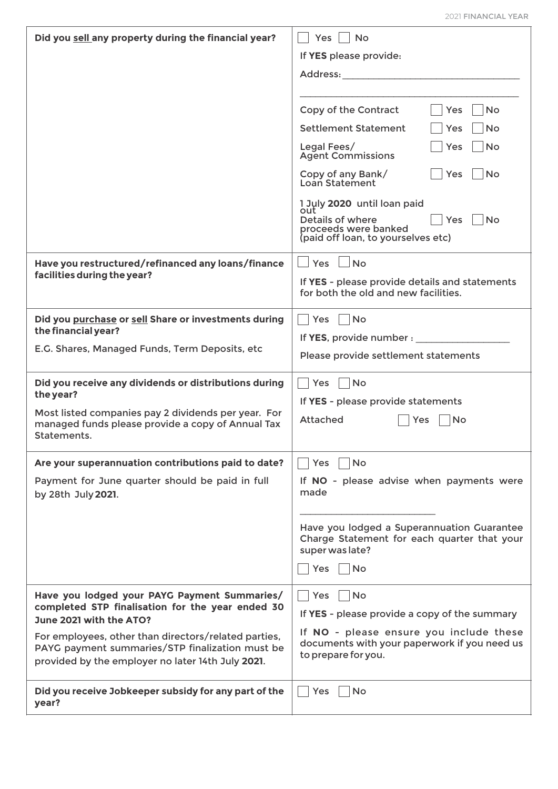| Did you sell any property during the financial year?                                                                                                                                                                                                                                        | Yes<br><b>No</b><br>If YES please provide:<br>Address: and the set of the set of the set of the set of the set of the set of the set of the set of the set o<br>Copy of the Contract<br>Yes<br><b>No</b><br><b>Settlement Statement</b><br>Yes<br>No.<br>Legal Fees/<br><b>No</b><br><b>Yes</b><br><b>Agent Commissions</b><br>Copy of any Bank/<br><b>No</b><br><b>Yes</b><br>Loan Statement<br>1 July 2020 until loan paid<br>out<br>Details of where<br><b>Yes</b><br>No.<br>proceeds were banked<br>(paid off loan, to yourselves etc) |
|---------------------------------------------------------------------------------------------------------------------------------------------------------------------------------------------------------------------------------------------------------------------------------------------|--------------------------------------------------------------------------------------------------------------------------------------------------------------------------------------------------------------------------------------------------------------------------------------------------------------------------------------------------------------------------------------------------------------------------------------------------------------------------------------------------------------------------------------------|
| Have you restructured/refinanced any loans/finance<br>facilities during the year?                                                                                                                                                                                                           | $Yes \Box No$<br>If YES - please provide details and statements<br>for both the old and new facilities.                                                                                                                                                                                                                                                                                                                                                                                                                                    |
| Did you purchase or sell Share or investments during<br>the financial year?<br>E.G. Shares, Managed Funds, Term Deposits, etc                                                                                                                                                               | <b>Yes</b><br><b>No</b><br>If YES, provide number : ___________<br>Please provide settlement statements                                                                                                                                                                                                                                                                                                                                                                                                                                    |
| Did you receive any dividends or distributions during<br>the year?<br>Most listed companies pay 2 dividends per year. For<br>managed funds please provide a copy of Annual Tax<br>Statements.                                                                                               | <b>No</b><br><b>Yes</b><br>If YES - please provide statements<br>Attached<br>Yes<br>No                                                                                                                                                                                                                                                                                                                                                                                                                                                     |
| Are your superannuation contributions paid to date?<br>Payment for June quarter should be paid in full<br>by 28th July 2021.                                                                                                                                                                | <b>No</b><br>Yes<br>If NO - please advise when payments were<br>made<br>Have you lodged a Superannuation Guarantee<br>Charge Statement for each quarter that your<br>super was late?<br>No No<br>Yes                                                                                                                                                                                                                                                                                                                                       |
| Have you lodged your PAYG Payment Summaries/<br>completed STP finalisation for the year ended 30<br>June 2021 with the ATO?<br>For employees, other than directors/related parties,<br>PAYG payment summaries/STP finalization must be<br>provided by the employer no later 14th July 2021. | <b>No</b><br>Yes<br>If YES - please provide a copy of the summary<br>If NO - please ensure you include these<br>documents with your paperwork if you need us<br>to prepare for you.                                                                                                                                                                                                                                                                                                                                                        |
| Did you receive Jobkeeper subsidy for any part of the<br>year?                                                                                                                                                                                                                              | <b>No</b><br>Yes                                                                                                                                                                                                                                                                                                                                                                                                                                                                                                                           |